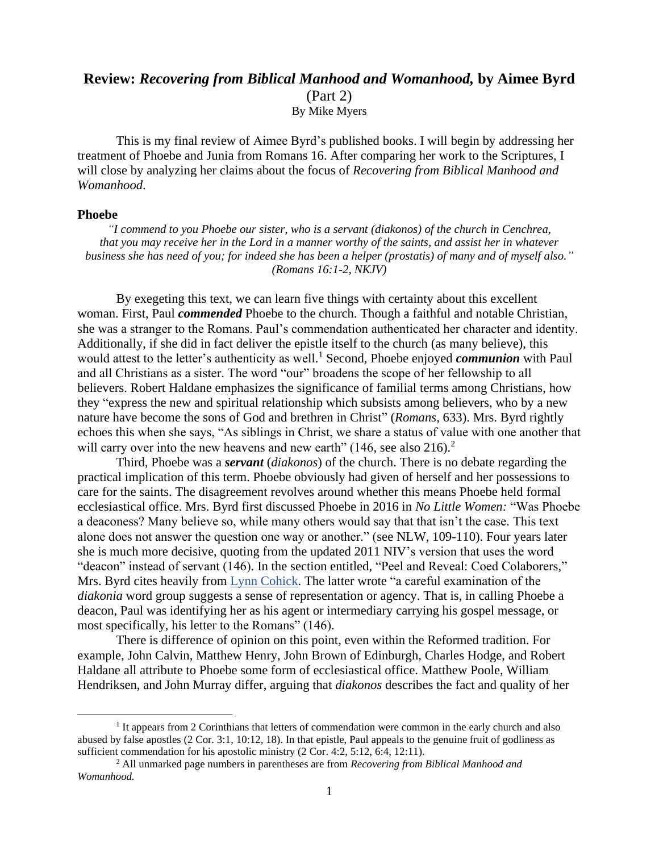## **Review:** *Recovering from Biblical Manhood and Womanhood,* **by Aimee Byrd**  (Part 2) By Mike Myers

This is my final review of Aimee Byrd's published books. I will begin by addressing her treatment of Phoebe and Junia from Romans 16. After comparing her work to the Scriptures, I will close by analyzing her claims about the focus of *Recovering from Biblical Manhood and Womanhood*.

## **Phoebe**

*"I commend to you Phoebe our sister, who is a servant (diakonos) of the church in Cenchrea, that you may receive her in the Lord in a manner worthy of the saints, and assist her in whatever business she has need of you; for indeed she has been a helper (prostatis) of many and of myself also." (Romans 16:1-2, NKJV)*

By exegeting this text, we can learn five things with certainty about this excellent woman. First, Paul *commended* Phoebe to the church. Though a faithful and notable Christian, she was a stranger to the Romans. Paul's commendation authenticated her character and identity. Additionally, if she did in fact deliver the epistle itself to the church (as many believe), this would attest to the letter's authenticity as well.<sup>1</sup> Second, Phoebe enjoyed *communion* with Paul and all Christians as a sister. The word "our" broadens the scope of her fellowship to all believers. Robert Haldane emphasizes the significance of familial terms among Christians, how they "express the new and spiritual relationship which subsists among believers, who by a new nature have become the sons of God and brethren in Christ" (*Romans,* 633). Mrs. Byrd rightly echoes this when she says, "As siblings in Christ, we share a status of value with one another that will carry over into the new heavens and new earth"  $(146, \text{see also } 216).$ <sup>2</sup>

Third, Phoebe was a *servant* (*diakonos*) of the church. There is no debate regarding the practical implication of this term. Phoebe obviously had given of herself and her possessions to care for the saints. The disagreement revolves around whether this means Phoebe held formal ecclesiastical office. Mrs. Byrd first discussed Phoebe in 2016 in *No Little Women:* "Was Phoebe a deaconess? Many believe so, while many others would say that that isn't the case. This text alone does not answer the question one way or another." (see NLW, 109-110). Four years later she is much more decisive, quoting from the updated 2011 NIV's version that uses the word "deacon" instead of servant (146). In the section entitled, "Peel and Reveal: Coed Colaborers," Mrs. Byrd cites heavily from [Lynn Cohick.](http://lynncohick.com/about-dr-cohick.html) The latter wrote "a careful examination of the *diakonia* word group suggests a sense of representation or agency. That is, in calling Phoebe a deacon, Paul was identifying her as his agent or intermediary carrying his gospel message, or most specifically, his letter to the Romans" (146).

There is difference of opinion on this point, even within the Reformed tradition. For example, John Calvin, Matthew Henry, John Brown of Edinburgh, Charles Hodge, and Robert Haldane all attribute to Phoebe some form of ecclesiastical office. Matthew Poole, William Hendriksen, and John Murray differ, arguing that *diakonos* describes the fact and quality of her

<sup>&</sup>lt;sup>1</sup> It appears from 2 Corinthians that letters of commendation were common in the early church and also abused by false apostles (2 Cor. 3:1, 10:12, 18). In that epistle, Paul appeals to the genuine fruit of godliness as sufficient commendation for his apostolic ministry (2 Cor. 4:2, 5:12, 6:4, 12:11).

<sup>2</sup> All unmarked page numbers in parentheses are from *Recovering from Biblical Manhood and Womanhood.*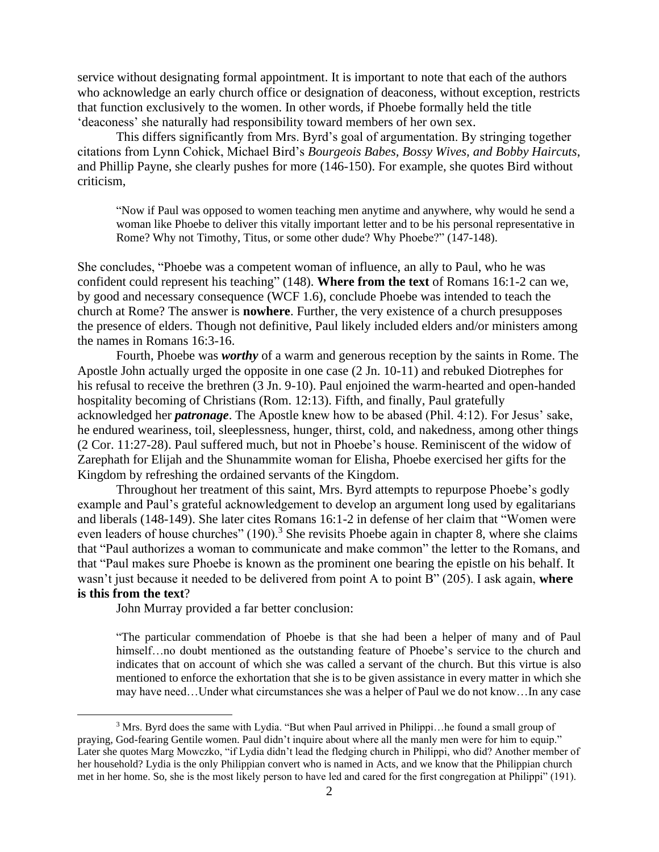service without designating formal appointment. It is important to note that each of the authors who acknowledge an early church office or designation of deaconess, without exception, restricts that function exclusively to the women. In other words, if Phoebe formally held the title 'deaconess' she naturally had responsibility toward members of her own sex.

This differs significantly from Mrs. Byrd's goal of argumentation. By stringing together citations from Lynn Cohick, Michael Bird's *Bourgeois Babes, Bossy Wives, and Bobby Haircuts*, and Phillip Payne, she clearly pushes for more (146-150). For example, she quotes Bird without criticism,

"Now if Paul was opposed to women teaching men anytime and anywhere, why would he send a woman like Phoebe to deliver this vitally important letter and to be his personal representative in Rome? Why not Timothy, Titus, or some other dude? Why Phoebe?" (147-148).

She concludes, "Phoebe was a competent woman of influence, an ally to Paul, who he was confident could represent his teaching" (148). **Where from the text** of Romans 16:1-2 can we, by good and necessary consequence (WCF 1.6), conclude Phoebe was intended to teach the church at Rome? The answer is **nowhere**. Further, the very existence of a church presupposes the presence of elders. Though not definitive, Paul likely included elders and/or ministers among the names in Romans 16:3-16.

Fourth, Phoebe was *worthy* of a warm and generous reception by the saints in Rome. The Apostle John actually urged the opposite in one case (2 Jn. 10-11) and rebuked Diotrephes for his refusal to receive the brethren (3 Jn. 9-10). Paul enjoined the warm-hearted and open-handed hospitality becoming of Christians (Rom. 12:13). Fifth, and finally, Paul gratefully acknowledged her *patronage*. The Apostle knew how to be abased (Phil. 4:12). For Jesus' sake, he endured weariness, toil, sleeplessness, hunger, thirst, cold, and nakedness, among other things (2 Cor. 11:27-28). Paul suffered much, but not in Phoebe's house. Reminiscent of the widow of Zarephath for Elijah and the Shunammite woman for Elisha, Phoebe exercised her gifts for the Kingdom by refreshing the ordained servants of the Kingdom.

Throughout her treatment of this saint, Mrs. Byrd attempts to repurpose Phoebe's godly example and Paul's grateful acknowledgement to develop an argument long used by egalitarians and liberals (148-149). She later cites Romans 16:1-2 in defense of her claim that "Women were even leaders of house churches"  $(190)$ .<sup>3</sup> She revisits Phoebe again in chapter 8, where she claims that "Paul authorizes a woman to communicate and make common" the letter to the Romans, and that "Paul makes sure Phoebe is known as the prominent one bearing the epistle on his behalf. It wasn't just because it needed to be delivered from point A to point B" (205). I ask again, **where is this from the text**?

John Murray provided a far better conclusion:

"The particular commendation of Phoebe is that she had been a helper of many and of Paul himself...no doubt mentioned as the outstanding feature of Phoebe's service to the church and indicates that on account of which she was called a servant of the church. But this virtue is also mentioned to enforce the exhortation that she is to be given assistance in every matter in which she may have need…Under what circumstances she was a helper of Paul we do not know…In any case

<sup>&</sup>lt;sup>3</sup> Mrs. Byrd does the same with Lydia. "But when Paul arrived in Philippi...he found a small group of praying, God-fearing Gentile women. Paul didn't inquire about where all the manly men were for him to equip." Later she quotes Marg Mowczko, "if Lydia didn't lead the fledging church in Philippi, who did? Another member of her household? Lydia is the only Philippian convert who is named in Acts, and we know that the Philippian church met in her home. So, she is the most likely person to have led and cared for the first congregation at Philippi" (191).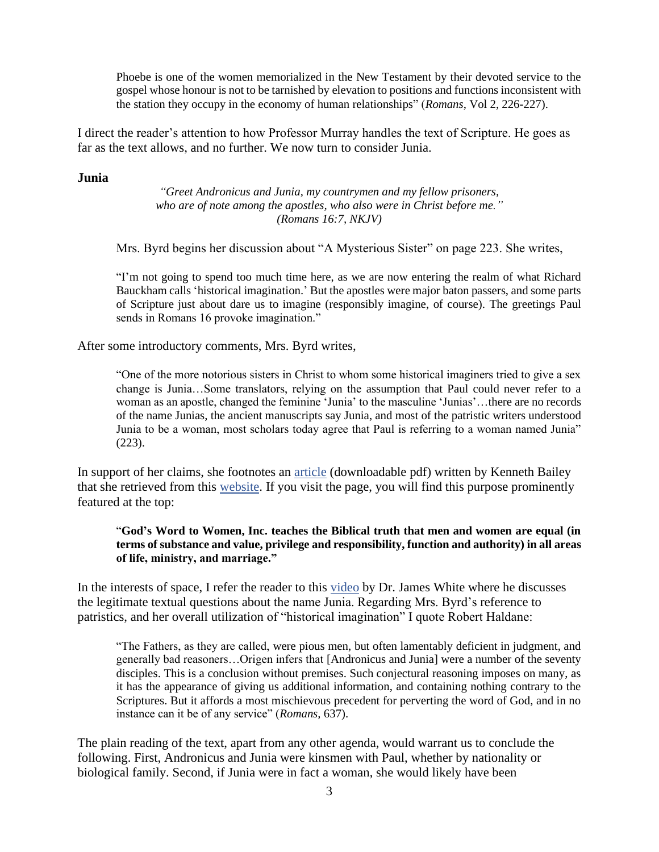Phoebe is one of the women memorialized in the New Testament by their devoted service to the gospel whose honour is not to be tarnished by elevation to positions and functions inconsistent with the station they occupy in the economy of human relationships" (*Romans*, Vol 2, 226-227).

I direct the reader's attention to how Professor Murray handles the text of Scripture. He goes as far as the text allows, and no further. We now turn to consider Junia.

## **Junia**

*"Greet Andronicus and Junia, my countrymen and my fellow prisoners, who are of note among the apostles, who also were in Christ before me." (Romans 16:7, NKJV)*

Mrs. Byrd begins her discussion about "A Mysterious Sister" on page 223. She writes,

"I'm not going to spend too much time here, as we are now entering the realm of what Richard Bauckham calls 'historical imagination.' But the apostles were major baton passers, and some parts of Scripture just about dare us to imagine (responsibly imagine, of course). The greetings Paul sends in Romans 16 provoke imagination."

After some introductory comments, Mrs. Byrd writes,

"One of the more notorious sisters in Christ to whom some historical imaginers tried to give a sex change is Junia…Some translators, relying on the assumption that Paul could never refer to a woman as an apostle, changed the feminine 'Junia' to the masculine 'Junias'…there are no records of the name Junias, the ancient manuscripts say Junia, and most of the patristic writers understood Junia to be a woman, most scholars today agree that Paul is referring to a woman named Junia" (223).

In support of her claims, she footnotes an [article](https://godswordtowomen.org/women_new_testament.pdf) (downloadable pdf) written by Kenneth Bailey that she retrieved from this [website.](https://godswordtowomen.org/) If you visit the page, you will find this purpose prominently featured at the top:

"**God's Word to Women, Inc. teaches the Biblical truth that men and women are equal (in terms of substance and value, privilege and responsibility, function and authority) in all areas of life, ministry, and marriage."**

In the interests of space, I refer the reader to this [video](https://www.youtube.com/watch?v=rCyrRUtsvTA) by Dr. James White where he discusses the legitimate textual questions about the name Junia. Regarding Mrs. Byrd's reference to patristics, and her overall utilization of "historical imagination" I quote Robert Haldane:

"The Fathers, as they are called, were pious men, but often lamentably deficient in judgment, and generally bad reasoners…Origen infers that [Andronicus and Junia] were a number of the seventy disciples. This is a conclusion without premises. Such conjectural reasoning imposes on many, as it has the appearance of giving us additional information, and containing nothing contrary to the Scriptures. But it affords a most mischievous precedent for perverting the word of God, and in no instance can it be of any service" (*Romans,* 637).

The plain reading of the text, apart from any other agenda, would warrant us to conclude the following. First, Andronicus and Junia were kinsmen with Paul, whether by nationality or biological family. Second, if Junia were in fact a woman, she would likely have been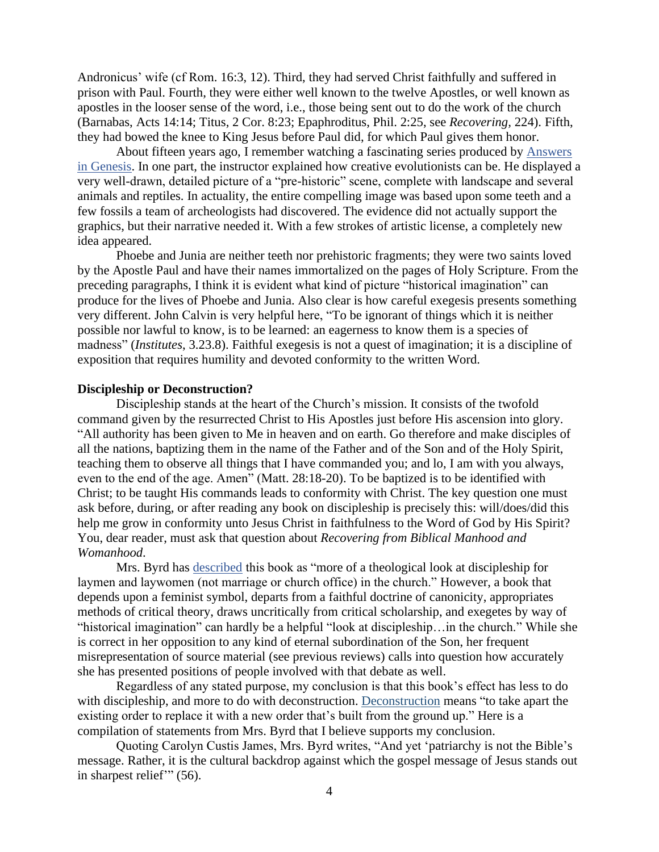Andronicus' wife (cf Rom. 16:3, 12). Third, they had served Christ faithfully and suffered in prison with Paul. Fourth, they were either well known to the twelve Apostles, or well known as apostles in the looser sense of the word, i.e., those being sent out to do the work of the church (Barnabas, Acts 14:14; Titus, 2 Cor. 8:23; Epaphroditus, Phil. 2:25, see *Recovering,* 224). Fifth, they had bowed the knee to King Jesus before Paul did, for which Paul gives them honor.

About fifteen years ago, I remember watching a fascinating series produced by [Answers](https://answersingenesis.org/)  [in Genesis.](https://answersingenesis.org/) In one part, the instructor explained how creative evolutionists can be. He displayed a very well-drawn, detailed picture of a "pre-historic" scene, complete with landscape and several animals and reptiles. In actuality, the entire compelling image was based upon some teeth and a few fossils a team of archeologists had discovered. The evidence did not actually support the graphics, but their narrative needed it. With a few strokes of artistic license, a completely new idea appeared.

Phoebe and Junia are neither teeth nor prehistoric fragments; they were two saints loved by the Apostle Paul and have their names immortalized on the pages of Holy Scripture. From the preceding paragraphs, I think it is evident what kind of picture "historical imagination" can produce for the lives of Phoebe and Junia. Also clear is how careful exegesis presents something very different. John Calvin is very helpful here, "To be ignorant of things which it is neither possible nor lawful to know, is to be learned: an eagerness to know them is a species of madness" (*Institutes*, 3.23.8). Faithful exegesis is not a quest of imagination; it is a discipline of exposition that requires humility and devoted conformity to the written Word.

## **Discipleship or Deconstruction?**

Discipleship stands at the heart of the Church's mission. It consists of the twofold command given by the resurrected Christ to His Apostles just before His ascension into glory. "All authority has been given to Me in heaven and on earth. Go therefore and make disciples of all the nations, baptizing them in the name of the Father and of the Son and of the Holy Spirit, teaching them to observe all things that I have commanded you; and lo, I am with you always, even to the end of the age. Amen" (Matt. 28:18-20). To be baptized is to be identified with Christ; to be taught His commands leads to conformity with Christ. The key question one must ask before, during, or after reading any book on discipleship is precisely this: will/does/did this help me grow in conformity unto Jesus Christ in faithfulness to the Word of God by His Spirit? You, dear reader, must ask that question about *Recovering from Biblical Manhood and Womanhood*.

Mrs. Byrd has [described](https://aimeebyrd.com/2020/06/16/peeling-yellow-wallpaper/) this book as "more of a theological look at discipleship for laymen and laywomen (not marriage or church office) in the church." However, a book that depends upon a feminist symbol, departs from a faithful doctrine of canonicity, appropriates methods of critical theory, draws uncritically from critical scholarship, and exegetes by way of "historical imagination" can hardly be a helpful "look at discipleship…in the church." While she is correct in her opposition to any kind of eternal subordination of the Son, her frequent misrepresentation of source material (see previous reviews) calls into question how accurately she has presented positions of people involved with that debate as well.

Regardless of any stated purpose, my conclusion is that this book's effect has less to do with discipleship, and more to do with deconstruction. [Deconstruction](https://www.theepochtimes.com/inside-the-radical-left-james-lindsay_3470362.html) means "to take apart the existing order to replace it with a new order that's built from the ground up." Here is a compilation of statements from Mrs. Byrd that I believe supports my conclusion.

Quoting Carolyn Custis James, Mrs. Byrd writes, "And yet 'patriarchy is not the Bible's message. Rather, it is the cultural backdrop against which the gospel message of Jesus stands out in sharpest relief" (56).